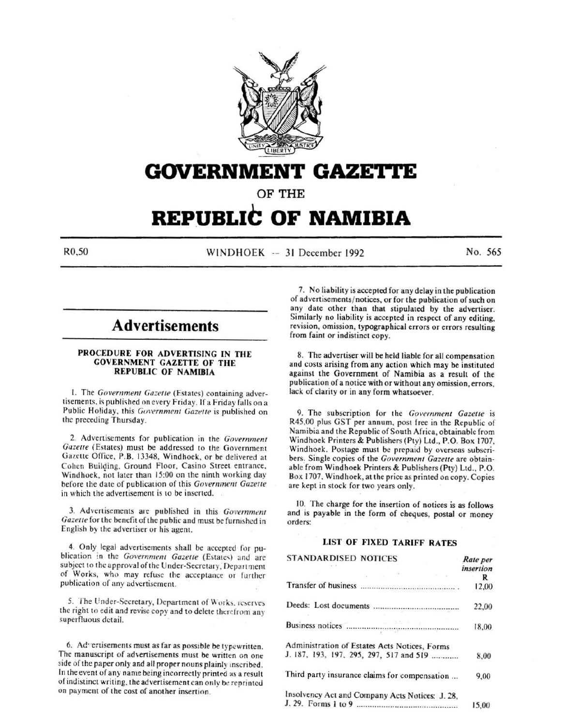

# **GOVERNMENT GAZETTE**

OF THE

# **REPUBLIC OF NAMIBIA**

R0,50 WINDHOEK -- 31 December 1992 No. 565

# **Advertisements**

### PROCEDURE FOR ADVERTISING IN THE GOVERNMENT GAZETTE OF THE REPUBLIC OF NAMIBIA

1. The *Government Gazette* (Estates) containing advertisements. is published on every Friday. If a Friday falls on a Public Holiday, this *Government Gazette* is published on the preceding Thursday.

2. Advertisements for publication in the *Government Gazette* (Estates) must be addressed to the Government Gazette Office, P.B. 13348, Windhoek, or be delivered at Cohen Building. Ground Floor, Casino Street entrance, Windhoek, not later than 15:00 on the ninth working day before the date of publication of this *Government Gazette* in which the advertisement is to be inserted.

3. Advertisements are published in this *Governmmt*  Gazette for the benefit of the public and must be furnished in English by the advertiser or his agent.

4. Only legal advertisements shall be accepted for publication in the Government Gazette (Estates) and are subject to the approval of the Under-Secretary, Department of Works, who may refuse the acceptance or further publication of any advertisement.

5. The Under-Secretary, Department of Works. reserves the right to edit and revise copy and to delete thcrefrom any superfluous detail.

6. Advertisements must as far as possible be typewritten. The manuscript of advertisements must be written on one side of the paper only and all proper nouns plainly :nscribed. In the event of any name being incorrectly printed as a result of indistinct writing, the advertisement can only be reprinted on payment of the cost of another insertion.

7. No liability is accepted for any delay in the publication of advertisements/ notices, or for the publication of such on any date other than that stipulated by the advertiser. Similarly no liability is accepted in respect of any editing, revision, omission, typographical errors or errors resulting from faint or indistinct copy.

8. The advertiser will be held liable for all compensation and costs arising from any action which may be instituted against the Government of Namibia as a result of the publication of a notice with or without any omission, errors, lack of clarity or in any form whatsoever.

9. The subscription for the *Government Gazette* is R45,00 plus GST per annum. post free in the Republic of Namibia and the Republic of South Africa, obtainable from Windhoek Printers & Publishers (Pty) Ltd., P.O. Box 1707, Windhoek. Postage must be prepaid by overseas subscribers. Single copies of the *Government Gazette* are obtainable from Windhoek Printers & Publishers (Pty) Ltd., P.O. Box 1707. Windhoek, at the price as printed on copy. Copies are kept in stock for two years only.

10. The charge for the insertion of notices is as follows and is payable in the form of cheques, postal or money orders:

# LIST OF FIXED TARIFF RATES

| <b>STANDARDISED NOTICES</b>                             | Rate per<br><i>insertion</i> |
|---------------------------------------------------------|------------------------------|
|                                                         | R                            |
|                                                         | 12,00                        |
|                                                         | 22,00                        |
| Business notices <b>Communication and September 201</b> | 18,00                        |
| Administration of Estates Acts Notices, Forms           |                              |
| J. 187, 193, 197, 295, 297, 517 and 519                 | 8,00                         |
| Third party insurance claims for compensation           | 9,00                         |
| Insolvency Act and Company Acts Notices: J. 28,         |                              |
|                                                         | 15.00                        |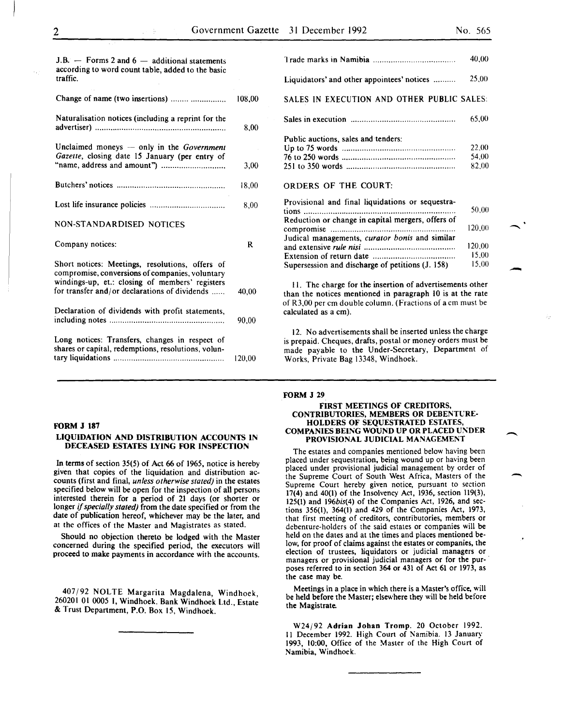-

 $\overline{\phantom{a}}$ 

 $\overline{\phantom{a}}$ 

| $J.H.$ $-$ Forms 2 and 6 $-$ additional statements<br>according to word count table, added to the basic<br>traffic.                                   |        |
|-------------------------------------------------------------------------------------------------------------------------------------------------------|--------|
| Change of name (two insertions)                                                                                                                       | 108,00 |
| Naturalisation notices (including a reprint for the                                                                                                   | 8.00   |
| Unclaimed moneys - only in the Government<br>Gazette, closing date 15 January (per entry of                                                           | 3,00   |
|                                                                                                                                                       | 18.00  |
|                                                                                                                                                       | 8.00   |
|                                                                                                                                                       |        |
| NON-STANDARDISED NOTICES                                                                                                                              |        |
| Company notices:                                                                                                                                      | R      |
| Short notices: Meetings, resolutions, offers of<br>compromise, conversions of companies, voluntary<br>windings-up, et.: closing of members' registers |        |
| for transfer and/or declarations of dividends                                                                                                         | 40.00  |
| Declaration of dividends with profit statements,                                                                                                      | 90.00  |

|                                                               | 40.00  |
|---------------------------------------------------------------|--------|
| Liquidators' and other appointees' notices                    | 25.00  |
| SALES IN EXECUTION AND OTHER PUBLIC SALES:                    |        |
|                                                               | 65.00  |
| Public auctions, sales and tenders:                           |        |
|                                                               | 22.00  |
|                                                               | 54.00  |
|                                                               | 82.00  |
| ORDERS OF THE COURT:                                          |        |
| Provisional and final liquidations or sequestra-<br>$\ddotsc$ | 50.00. |

| 50.00  |
|--------|
|        |
| 120.00 |
|        |
| 120.00 |
| 15.00  |
| 15.00  |
|        |

II. The charge for the insertion of advertisements other than the notices mentioned in paragraph 10 is at the rate of R3,00 per em double column. (Fractions of a em must be calculated as a em).

12. No advertisements shall be inserted unless the charge is prepaid. Cheques, drafts, postal or money orders must be made payable to the Under-Secretary, Department of Works, Private Bag 13348, Windhoek.

#### FORM J 29

#### FIRST MEETINGS OF CREDITORS, CONTRIBUTORIES, MEMBERS OR DEBENTURE-HOLDERS OF SEQUESTRATED ESTATES, COMPANIES BEING WOUND UP OR PLACED UNDER PROVISIONAL JUDICIAL MANAGEMENT

The estates and companies mentioned below having been placed under sequestration, being wound up or having been placed under provisional judicial management by order of the Supreme Court of South West Africa, Masters of the Supreme Court hereby given notice, pursuant to section 17(4) and 40(1) of the Insolvency Act, 1936. section 119(3), 125(1) and 196bis(4) of the Companies Act, 1926, and sections 356(1), 364(1) and 429 of the Companies Act, 1973, that first meeting of creditors, contributories, members or debenture-holders of the said estates or companies will be held on the dates and at the times and places mentioned below, for proof of claims against the estates or companies, the election of trustees, liquidators or judicial managers or managers or provisional judicial managers or for the purposes referred to in section 364 or 431 of Act 61 or 1973, as the case may be.

Meetings in a place in which there is a Master's office, will be held before the Master; elsewhere they wilt be held before the Magistrate.

W24/92 Adrian Johan Tromp. 20 October 1992. II December 1992. High Court of Namibia. 13 January 1993, 10:00, Office of the Master of the High Court of Namibia, Windhoek.

# FORM J 187

### LIQUIDATION AND DISTRIBUTION ACCOUNTS IN DECEASED ESTATES LYING FOR INSPECTION

In terms of section 35(5) of Act 66 of 1965, notice is hereby given that copies of the liquidation and distribution accounts (first and final, *unless otherwise stated)* in the estates specified below will be open for the inspection of all persons interested therein for a period of 21 days (or shorter or longer if *specially stated)* from the date specified or from the date of publication hereof, whichever may be the later, and at the offices of the Master and Magistrates as stated.

Should no objection thereto be lodged with the Master concerned during the specified period, the executors will proceed to make payments in accordance with the accounts.

407/92 NOLTE Margarita Magdalena, Windhoek, 260201 01 0005 I, Windhoek. Bank Windhoek Ltd., Estate & Trust Department, P.O. Box 15, Windhoek.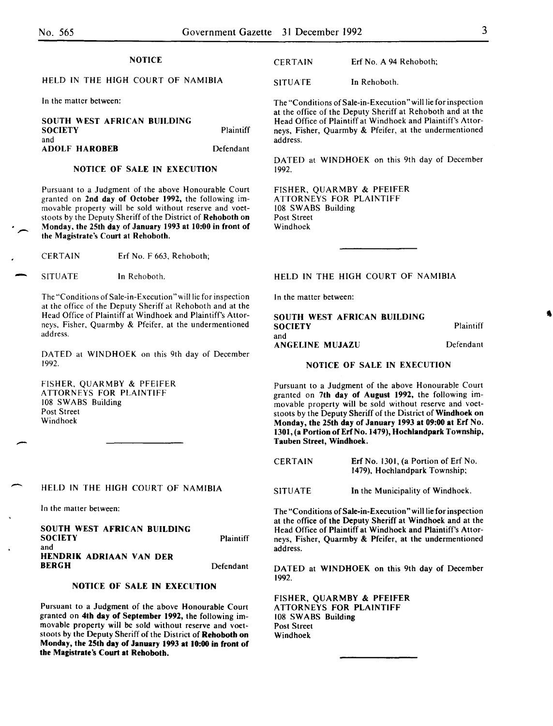$\overline{\phantom{a}}$ 

-

-

### **NOTICE**

# HELD IN THE HIGH COURT OF NAMIBIA

In the matter between:

| SOUTH WEST AFRICAN BUILDING<br><b>SOCIETY</b> | <b>Plaintiff</b> |
|-----------------------------------------------|------------------|
| and<br>ADOLF HAROBEB                          | Defendant        |

# NOTICE OF SALE IN EXECUTION

Pursuant to a Judgment of the above Honourable Court granted on 2nd day of October 1992, the following immovable property will be sold without reserve and voetstoots by the Deputy Sheriff of the District of Rehoboth on Monday, the 25th day of January 1993 at 10:00 in front of the Magistrate's Court at Rehoboth.

CERTAIN Erf No. F 663, Rehoboth;

SITUATE In Rehoboth.

The "Conditions of Sale-in-Execution "will lie for inspection at the office of the Deputy Sheriff at Rehoboth and at the Head Office of Plaintiff at Windhoek and Plaintiff's Attorneys, Fisher, Quarmby & Pfeifer, at the undermentioned address.

DATED at WINDHOEK on this 9th day of December 1992.

FISHER, QUARMBY & PFEIFER ATTORNEYS FOR PLAINTIFF 108 SWABS Building Post Street Windhoek

#### HELD IN THE HIGH COURT OF NAMIBIA

In the matter between:

SOUTH WEST AFRICAN BUILDING **SOCIETY** and HENDRIK ADRIAAN VAN DER BERGH **Plaintiff** Defendant

# NOTICE OF SALE IN EXECUTION

Pursuant to a Judgment of the above Honourable Court granted on 4th day of September 1992, the following immovable property will be sold without reserve and voetstoots by the Deputy Sheriff of the District of Rehoboth on Monday, the 25th day of January 1993 at 10:00 in front of the Magistrate's Court at Rehoboth.

CERTAIN Erf No. A 94 Rehoboth;

SITUATE In Rehoboth.

The "Conditions of Sale-in-Execution" will lie for inspection at the office of the Deputy Sheriff at Rehoboth and at the Head Office of Plaintiff at Windhoek and Plaintiff's Attorneys, Fisher, Quarmby & Pfeifer, at the undermentioned address.

DATED at WINDHOEK on this 9th day of December 1992.

FISHER, QUARMBY & PFEIFER ATTORNEYS FOR PLAINTIFF 108 SWABS Building Post Street Windhoek

#### HELD IN THE HIGH COURT OF NAMIBIA

In the matter between:

| SOUTH WEST AFRICAN BUILDING |           |
|-----------------------------|-----------|
| <b>SOCIETY</b>              | Plaintiff |
| and                         |           |
| ANGELINE MUJAZU             | Defendant |

#### NOTICE OF SALE IN EXECUTION

Pursuant to a Judgment of the above Honourable Court granted on 7th day of August 1992, the following immovable property will be sold without reserve and voetstoots by the Deputy Sheriff of the District of Windhoek on Monday, the 25th day of January 1993 at 09:00 at Erf No. 1301, (a Portion of Erf No. 1479), Hochlandpark Township, Tauben Street, Windhoek.

CERTAIN Erf No. 1301, (a Portion of Erf No. 1479), Hochlandpark Township;

SITUATE In the Municipality of Windhoek.

The "Conditions of Sale-in-Execution" will lie for inspection at the office of the Deputy Sheriff at Windhoek and at the Head Office of Plaintiff at Windhoek and Plaintiff's Attorneys, Fisher, Quarmby & Pfeifer, at the undermentioned address.

DATED at WINDHOEK on this 9th day of December 1992.

FISHER, QUARMBY & PFEIFER ATTORNEYS FOR PLAINTIFF 108 SWABS Building Post Street Windhoek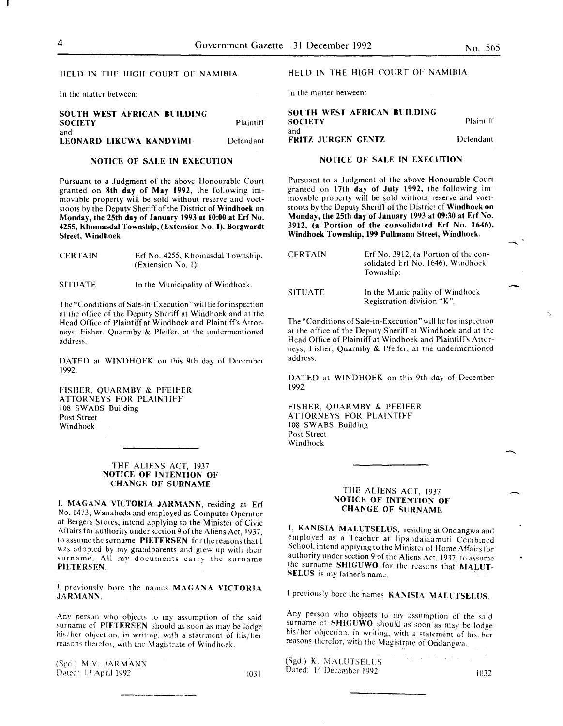-

渺

#### HELD IN THE HIGH COURT Of NAMIBIA

In the matter between:

#### SOUTH WEST AFRICAN BUILDING **SOCIETY** and LEONARD LIKUWA KANDYIMI Plaintiff Defendant

#### NOTICE OF SALE IN EXECUTION

Pursuant to a Judgment of the above Honourable Court granted on 8th day of May 1992, the following immovable property will be sold without reserve and voetstoots by the Deputy Sheriff of the District of Windhoek on Monday, the 25th day of January 1993 at 10:00 at Erf No. 4255, Khomasdal Township, (Extension No.1), Borgwardt Street, Windhoek.

| <b>CERTAIN</b> | Erf No. 4255, Khomasdal Township, |
|----------------|-----------------------------------|
|                | (Extension No. 1);                |

SITUATE In the Municipality of Windhoek.

The "Conditions of Sale-in-Execution" will lie for inspection at the office of the Deputy Sheriff at Windhoek and at the Head Office of Plaintiff at Windhoek and Plaintiff's Attorneys, Fisher, Quarmby & Pfeifer. at the undermentioned address.

DATED at WINDHOEK on this 9th day of December 1992.

FISHER. QUARMBY & PFEifER ATTORNEYS FOR PLAINTIFF 108 SWABS Building Post Street Windhoek

#### THE ALIENS ACT, 1937 NOTICE OF INTENTION OF CHANGE OF SURNAME

I. MAGANA VICTORIA JARMANN, residing at Erf No. 1473, Wanaheda and employed as Computer Operator at Bergers Stores, intend applying to the Minister of Civic Affairs for authority under section 9 of the Aliens Act, 1937, to assume the surname PIETERSEN for the reasons that I was adopted by my grandparents and grew up with their surname. All my documents carry the surname PIETERSEN.

J previously horc the names MAGANA VICTORIA .JARMANN.

Any person who objects to my assumption of the said surname of PIETERSEN should as soon as may be lodge his/her objection, in writing, with a statement of his/her reasons therefor, with the Magistrate of Windhoek.

(Sgd.) M.V. JARMANN Dated: 13 April 1992 1031

#### HELD IN THE HIGH COURT OF NAMIBIA

In the matter between:

SOUTH WEST AFRICAN BUILDING **SOCIETY** and FRITZ JURGEN GENTZ Plaintiff Defendant

# NOTICE OF SALE IN EXECUTION

Pursuant to a Judgment of the above Honourable Court granted on 17th day of July 1992, the following immovable property will be sold without reserve and voetstoots by the Deputy Sheriff of the District of Windhoek on Monday, the 25th day of January 1993 at 09:30 at Erf No. 3912, (a Portion of the consolidated Erf No. 1646), Windhoek Township, 199 Pullrnann Street, Windhoek.

| <b>CERTAIN</b> | Erf No. 3912, (a Portion of the con-<br>solidated Erf No. 1646), Windhoek<br>Township: |
|----------------|----------------------------------------------------------------------------------------|
| <b>SITUATE</b> | In the Municipality of Windhoek<br>Registration division "K".                          |

The "Conditions of Sale-in-Execution" will lie for inspection at the office of the Deputy Sheriff at Windhoek and at the Head Office of Plaintiff at Windhoek and Plaintiff's Attorneys, Fisher, Quarmby & Pfeifer, at the undermentioned address.

DATED at WINDHOEK on this 9th day of December 1992.

FISHER, QUARMBY & PFEIFER ATTORNEYS FOR PLAINTIFF 108 SWABS Building Post Street Windhoek

# THE ALIENS ACT, 1937 NOTICE OF INTENTION OF CHANGE OF SURNAME

I, KANISIA MALUTSELUS, residing at Ondangwa and employed as a Teacher at lipandajaamuti Combined School, intend applying to the Minister of Home Affairs for authority under section 9 of the Aliens Act, 1937, to assume the surname SHIGUWO for the reasons that MALUT-SELUS is my father's name.

l previously bore the names KANISIA MALUTSELUS.

Any person who objects to my assumption of the said surname of SHIGUWO should as soon as may be lodge his/her objection, in writing, with a statement of his/her reasons therefor, with the Magistrate of Ondangwa.

the communication (Sgd.) K. MALUTSELUS Dated: 14 December 1992 i032